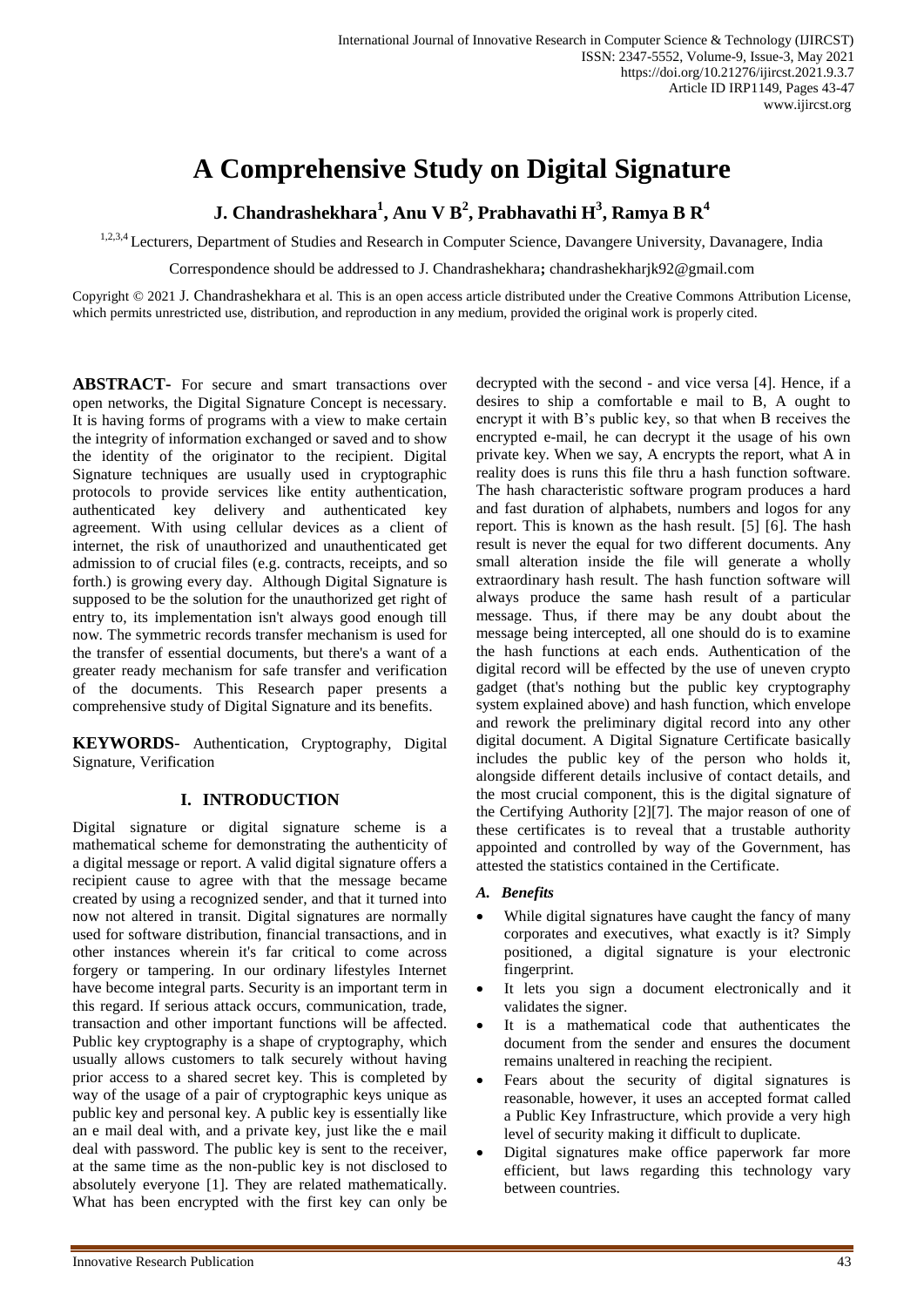# **A Comprehensive Study on Digital Signature**

**J. Chandrashekhara<sup>1</sup> , Anu V B<sup>2</sup> , Prabhavathi H<sup>3</sup> , Ramya B R<sup>4</sup>**

1,2,3,4 Lecturers, Department of Studies and Research in Computer Science, Davangere University, Davanagere, India

Correspondence should be addressed to J. Chandrashekhara**;** chandrashekharjk92@gmail.com

Copyright © 2021 J. Chandrashekhara et al. This is an open access article distributed under the Creative Commons Attribution License, which permits unrestricted use, distribution, and reproduction in any medium, provided the original work is properly cited.

**ABSTRACT-** For secure and smart transactions over open networks, the Digital Signature Concept is necessary. It is having forms of programs with a view to make certain the integrity of information exchanged or saved and to show the identity of the originator to the recipient. Digital Signature techniques are usually used in cryptographic protocols to provide services like entity authentication, authenticated key delivery and authenticated key agreement. With using cellular devices as a client of internet, the risk of unauthorized and unauthenticated get admission to of crucial files (e.g. contracts, receipts, and so forth.) is growing every day. Although Digital Signature is supposed to be the solution for the unauthorized get right of entry to, its implementation isn't always good enough till now. The symmetric records transfer mechanism is used for the transfer of essential documents, but there's a want of a greater ready mechanism for safe transfer and verification of the documents. This Research paper presents a comprehensive study of Digital Signature and its benefits.

**KEYWORDS**- Authentication, Cryptography, Digital Signature, Verification

# **I. INTRODUCTION**

Digital signature or digital signature scheme is a mathematical scheme for demonstrating the authenticity of a digital message or report. A valid digital signature offers a recipient cause to agree with that the message became created by using a recognized sender, and that it turned into now not altered in transit. Digital signatures are normally used for software distribution, financial transactions, and in other instances wherein it's far critical to come across forgery or tampering. In our ordinary lifestyles Internet have become integral parts. Security is an important term in this regard. If serious attack occurs, communication, trade, transaction and other important functions will be affected. Public key cryptography is a shape of cryptography, which usually allows customers to talk securely without having prior access to a shared secret key. This is completed by way of the usage of a pair of cryptographic keys unique as public key and personal key. A public key is essentially like an e mail deal with, and a private key, just like the e mail deal with password. The public key is sent to the receiver, at the same time as the non-public key is not disclosed to absolutely everyone [1]. They are related mathematically. What has been encrypted with the first key can only be decrypted with the second - and vice versa [4]. Hence, if a desires to ship a comfortable e mail to B, A ought to encrypt it with B's public key, so that when B receives the encrypted e-mail, he can decrypt it the usage of his own private key. When we say, A encrypts the report, what A in reality does is runs this file thru a hash function software. The hash characteristic software program produces a hard and fast duration of alphabets, numbers and logos for any report. This is known as the hash result. [5] [6]. The hash result is never the equal for two different documents. Any small alteration inside the file will generate a wholly extraordinary hash result. The hash function software will always produce the same hash result of a particular message. Thus, if there may be any doubt about the message being intercepted, all one should do is to examine the hash functions at each ends. Authentication of the digital record will be effected by the use of uneven crypto gadget (that's nothing but the public key cryptography system explained above) and hash function, which envelope and rework the preliminary digital record into any other digital document. A Digital Signature Certificate basically includes the public key of the person who holds it, alongside different details inclusive of contact details, and the most crucial component, this is the digital signature of the Certifying Authority [2][7]. The major reason of one of these certificates is to reveal that a trustable authority appointed and controlled by way of the Government, has attested the statistics contained in the Certificate.

## *A. Benefits*

- While digital signatures have caught the fancy of many corporates and executives, what exactly is it? Simply positioned, a digital signature is your electronic fingerprint.
- It lets you sign a document electronically and it validates the signer.
- It is a mathematical code that authenticates the document from the sender and ensures the document remains unaltered in reaching the recipient.
- Fears about the security of digital signatures is reasonable, however, it uses an accepted format called a Public Key Infrastructure, which provide a very high level of security making it difficult to duplicate.
- Digital signatures make office paperwork far more efficient, but laws regarding this technology vary between countries.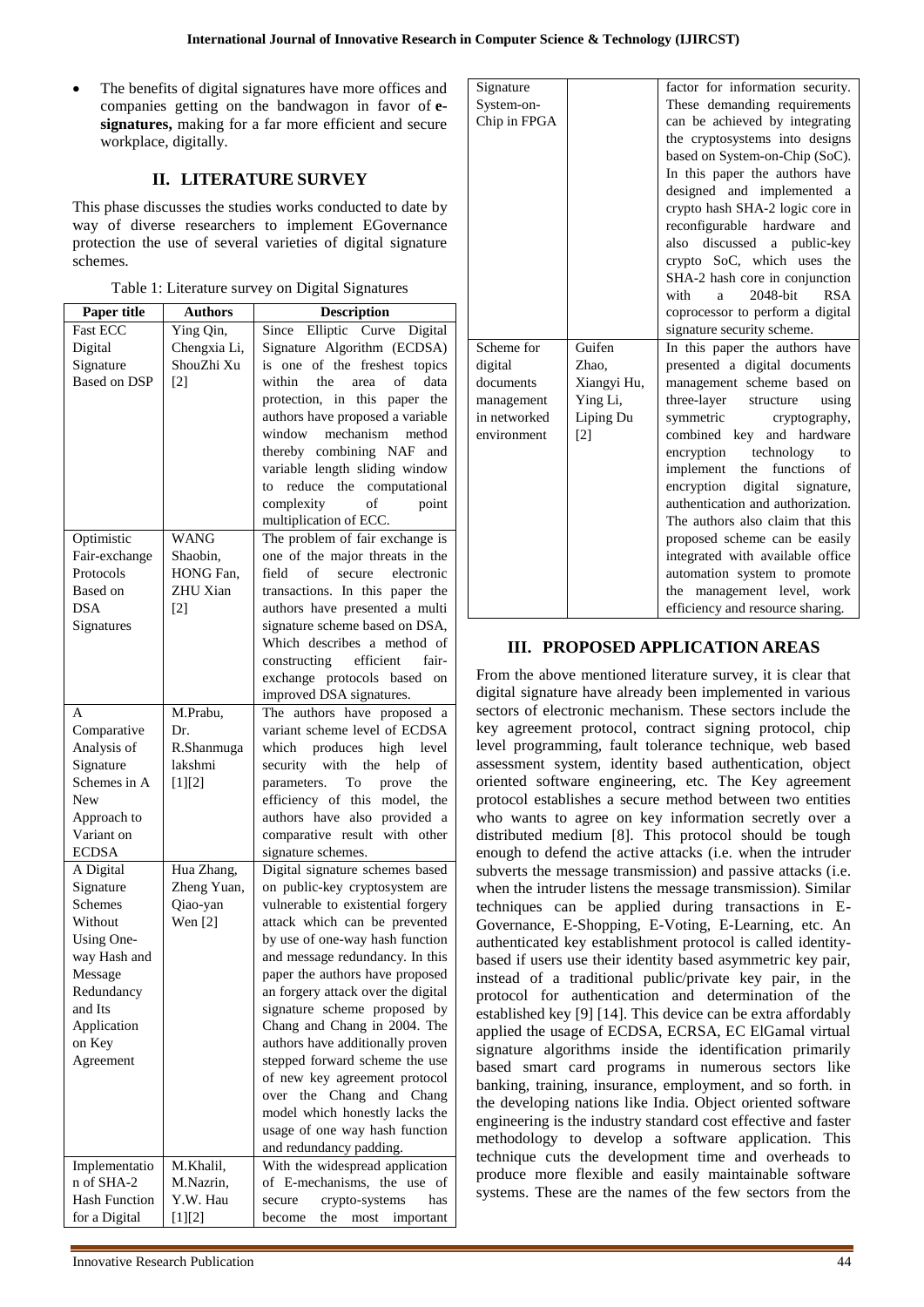The benefits of digital signatures have more offices and companies getting on the bandwagon in favor of **esignatures,** making for a far more efficient and secure workplace, digitally.

# **II. LITERATURE SURVEY**

This phase discusses the studies works conducted to date by way of diverse researchers to implement EGovernance protection the use of several varieties of digital signature schemes.

|  | Table 1: Literature survey on Digital Signatures |  |
|--|--------------------------------------------------|--|
|  |                                                  |  |

| Paper title               | <b>Authors</b>    | <b>Description</b>                                                       |
|---------------------------|-------------------|--------------------------------------------------------------------------|
| <b>Fast ECC</b>           | Ying Qin,         | Elliptic Curve Digital<br>Since                                          |
| Digital                   | Chengxia Li,      | Signature Algorithm (ECDSA)                                              |
| Signature                 | ShouZhi Xu        | is one of the freshest topics                                            |
| <b>Based on DSP</b>       | $\lceil 2 \rceil$ | within<br>the<br>of<br>data<br>area                                      |
|                           |                   | protection, in<br>this paper<br>the                                      |
|                           |                   | authors have proposed a variable                                         |
|                           |                   | mechanism<br>window<br>method                                            |
|                           |                   | thereby combining NAF<br>and                                             |
|                           |                   | variable length sliding window                                           |
|                           |                   | reduce the computational<br>to                                           |
|                           |                   | complexity<br>of<br>point                                                |
|                           |                   | multiplication of ECC.                                                   |
| Optimistic                | <b>WANG</b>       | The problem of fair exchange is                                          |
| Fair-exchange             | Shaobin,          | one of the major threats in the                                          |
| Protocols                 | HONG Fan,         | field<br>of<br>secure<br>electronic                                      |
| Based on                  | ZHU Xian          | transactions. In this paper the                                          |
| <b>DSA</b>                | $\lceil 2 \rceil$ | authors have presented a multi                                           |
| Signatures                |                   | signature scheme based on DSA,                                           |
|                           |                   | Which describes a method of                                              |
|                           |                   | efficient<br>constructing<br>fair-                                       |
|                           |                   | exchange protocols based<br>on                                           |
|                           |                   | improved DSA signatures.                                                 |
| A                         | M.Prabu,          | authors have proposed a<br>The                                           |
| Comparative               | Dr.               | variant scheme level of ECDSA                                            |
| Analysis of               | R.Shanmuga        | which produces high<br>level                                             |
| Signature<br>Schemes in A | lakshmi           | security with the<br>help<br>of                                          |
| New                       | $[1][2]$          | parameters.<br>To<br>the<br>prove<br>efficiency of this<br>model,<br>the |
| Approach to               |                   | authors have also provided a                                             |
| Variant on                |                   | comparative result<br>with other                                         |
| <b>ECDSA</b>              |                   | signature schemes.                                                       |
| A Digital                 | Hua Zhang,        | Digital signature schemes based                                          |
| Signature                 | Zheng Yuan,       | on public-key cryptosystem are                                           |
| <b>Schemes</b>            | Qiao-yan          | vulnerable to existential forgery                                        |
| Without                   | Wen $[2]$         | attack which can be prevented                                            |
| Using One-                |                   | by use of one-way hash function                                          |
| way Hash and              |                   | and message redundancy. In this                                          |
| Message                   |                   | paper the authors have proposed                                          |
| Redundancy                |                   | an forgery attack over the digital                                       |
| and Its                   |                   | signature scheme proposed by                                             |
| Application               |                   | Chang and Chang in 2004. The                                             |
| on Key                    |                   | authors have additionally proven                                         |
| Agreement                 |                   | stepped forward scheme the use                                           |
|                           |                   | of new key agreement protocol                                            |
|                           |                   | Chang<br>the<br>and<br>over<br>Chang                                     |
|                           |                   | model which honestly lacks the                                           |
|                           |                   | usage of one way hash function                                           |
|                           |                   | and redundancy padding.                                                  |
| Implementatio             | M.Khalil,         | With the widespread application                                          |
| n of SHA-2                | M.Nazrin,         | of E-mechanisms, the use of                                              |
| <b>Hash Function</b>      | Y.W. Hau          | crypto-systems<br>secure<br>has                                          |
| for a Digital             | $[1][2]$          | the<br>most<br>important<br>become                                       |

| Signature    |                   | factor for information security.         |
|--------------|-------------------|------------------------------------------|
| System-on-   |                   | These demanding requirements             |
| Chip in FPGA |                   | can be achieved by integrating           |
|              |                   | the cryptosystems into designs           |
|              |                   | based on System-on-Chip (SoC).           |
|              |                   | In this paper the authors have           |
|              |                   | designed and implemented<br><sub>a</sub> |
|              |                   | crypto hash SHA-2 logic core in          |
|              |                   | reconfigurable<br>hardware<br>and        |
|              |                   | also discussed a public-key              |
|              |                   | crypto SoC, which uses the               |
|              |                   | SHA-2 hash core in conjunction           |
|              |                   | 2048-bit<br><b>RSA</b><br>with<br>a      |
|              |                   | coprocessor to perform a digital         |
|              |                   | signature security scheme.               |
| Scheme for   | Guifen            | In this paper the authors have           |
| digital      | Zhao,             | presented a digital documents            |
| documents    | Xiangyi Hu,       | management scheme based on               |
| management   | Ying Li,          | three-layer<br>structure<br>using        |
| in networked | Liping Du         | symmetric<br>cryptography,               |
| environment  | $\lceil 2 \rceil$ | combined key and hardware                |
|              |                   | encryption<br>technology<br>to           |
|              |                   | implement<br>functions<br>of<br>the      |
|              |                   | digital signature,<br>encryption         |
|              |                   | authentication and authorization.        |
|              |                   | The authors also claim that this         |
|              |                   | proposed scheme can be easily            |
|              |                   | integrated with available office         |
|              |                   | automation system to promote             |
|              |                   | management level, work<br>the            |
|              |                   | efficiency and resource sharing.         |

# **III. PROPOSED APPLICATION AREAS**

From the above mentioned literature survey, it is clear that digital signature have already been implemented in various sectors of electronic mechanism. These sectors include the key agreement protocol, contract signing protocol, chip level programming, fault tolerance technique, web based assessment system, identity based authentication, object oriented software engineering, etc. The Key agreement protocol establishes a secure method between two entities who wants to agree on key information secretly over a distributed medium [8]. This protocol should be tough enough to defend the active attacks (i.e. when the intruder subverts the message transmission) and passive attacks (i.e. when the intruder listens the message transmission). Similar techniques can be applied during transactions in E-Governance, E-Shopping, E-Voting, E-Learning, etc. An authenticated key establishment protocol is called identitybased if users use their identity based asymmetric key pair, instead of a traditional public/private key pair, in the protocol for authentication and determination of the established key [9] [14]. This device can be extra affordably applied the usage of ECDSA, ECRSA, EC ElGamal virtual signature algorithms inside the identification primarily based smart card programs in numerous sectors like banking, training, insurance, employment, and so forth. in the developing nations like India. Object oriented software engineering is the industry standard cost effective and faster methodology to develop a software application. This technique cuts the development time and overheads to produce more flexible and easily maintainable software systems. These are the names of the few sectors from the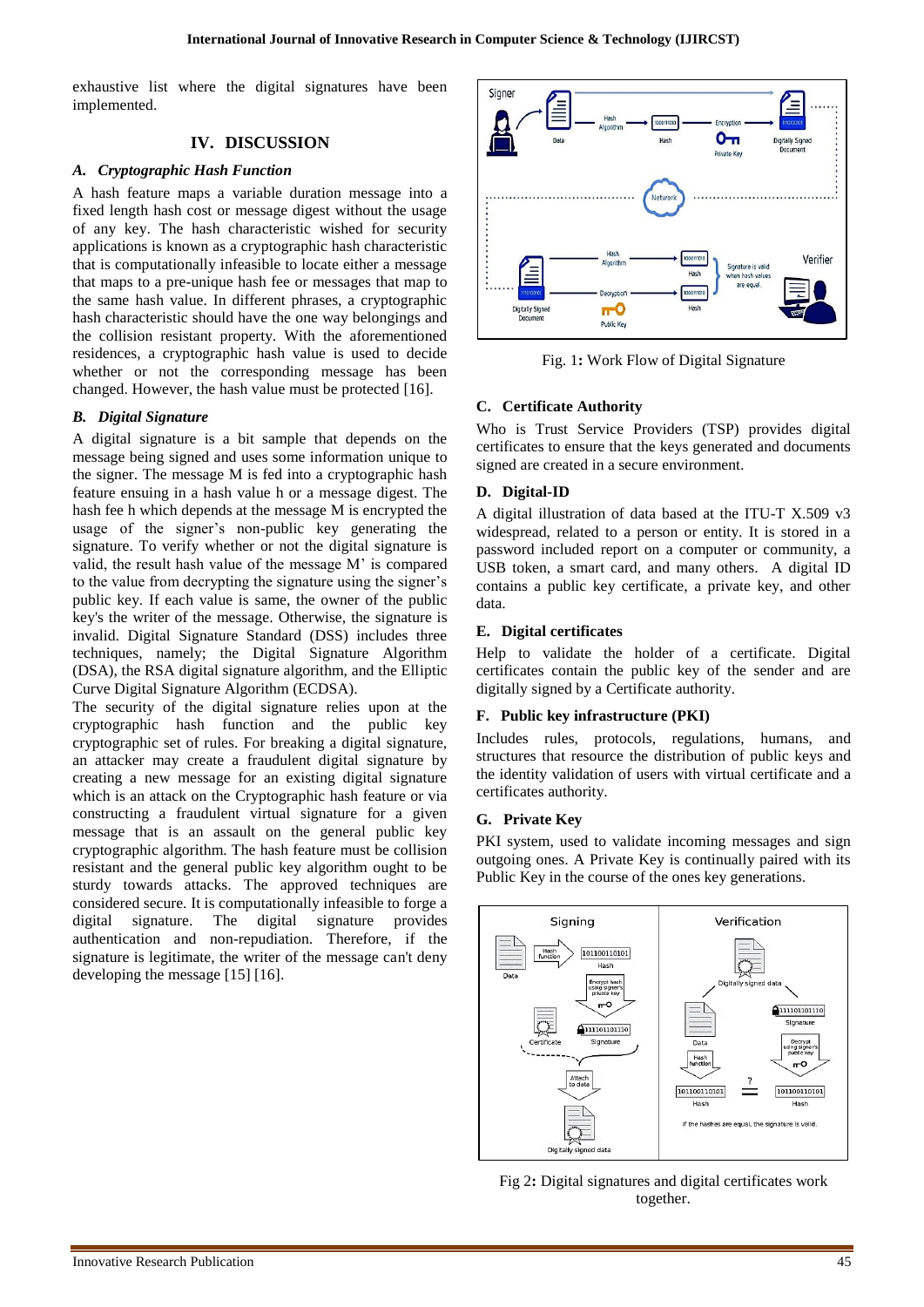exhaustive list where the digital signatures have been implemented.

## **IV. DISCUSSION**

#### *A. Cryptographic Hash Function*

A hash feature maps a variable duration message into a fixed length hash cost or message digest without the usage of any key. The hash characteristic wished for security applications is known as a cryptographic hash characteristic that is computationally infeasible to locate either a message that maps to a pre-unique hash fee or messages that map to the same hash value. In different phrases, a cryptographic hash characteristic should have the one way belongings and the collision resistant property. With the aforementioned residences, a cryptographic hash value is used to decide whether or not the corresponding message has been changed. However, the hash value must be protected [16].

#### *B. Digital Signature*

A digital signature is a bit sample that depends on the message being signed and uses some information unique to the signer. The message M is fed into a cryptographic hash feature ensuing in a hash value h or a message digest. The hash fee h which depends at the message M is encrypted the usage of the signer's non-public key generating the signature. To verify whether or not the digital signature is valid, the result hash value of the message M' is compared to the value from decrypting the signature using the signer's public key. If each value is same, the owner of the public key's the writer of the message. Otherwise, the signature is invalid. Digital Signature Standard (DSS) includes three techniques, namely; the Digital Signature Algorithm (DSA), the RSA digital signature algorithm, and the Elliptic Curve Digital Signature Algorithm (ECDSA).

The security of the digital signature relies upon at the cryptographic hash function and the public key cryptographic set of rules. For breaking a digital signature, an attacker may create a fraudulent digital signature by creating a new message for an existing digital signature which is an attack on the Cryptographic hash feature or via constructing a fraudulent virtual signature for a given message that is an assault on the general public key cryptographic algorithm. The hash feature must be collision resistant and the general public key algorithm ought to be sturdy towards attacks. The approved techniques are considered secure. It is computationally infeasible to forge a digital signature. The digital signature provides authentication and non-repudiation. Therefore, if the signature is legitimate, the writer of the message can't deny developing the message [15] [16].



Fig. 1**:** Work Flow of Digital Signature

## **C. Certificate Authority**

Who is Trust Service Providers (TSP) provides digital certificates to ensure that the keys generated and documents signed are created in a secure environment.

#### **D. Digital-ID**

A digital illustration of data based at the ITU-T X.509 v3 widespread, related to a person or entity. It is stored in a password included report on a computer or community, a USB token, a smart card, and many others. A digital ID contains a public key certificate, a private key, and other data.

#### **E. Digital certificates**

Help to validate the holder of a certificate. Digital certificates contain the public key of the sender and are digitally signed by a Certificate authority.

#### **F. Public key infrastructure (PKI)**

Includes rules, protocols, regulations, humans, and structures that resource the distribution of public keys and the identity validation of users with virtual certificate and a certificates authority.

#### **G. Private Key**

PKI system, used to validate incoming messages and sign outgoing ones. A Private Key is continually paired with its Public Key in the course of the ones key generations.



Fig 2**:** Digital signatures and digital certificates work together.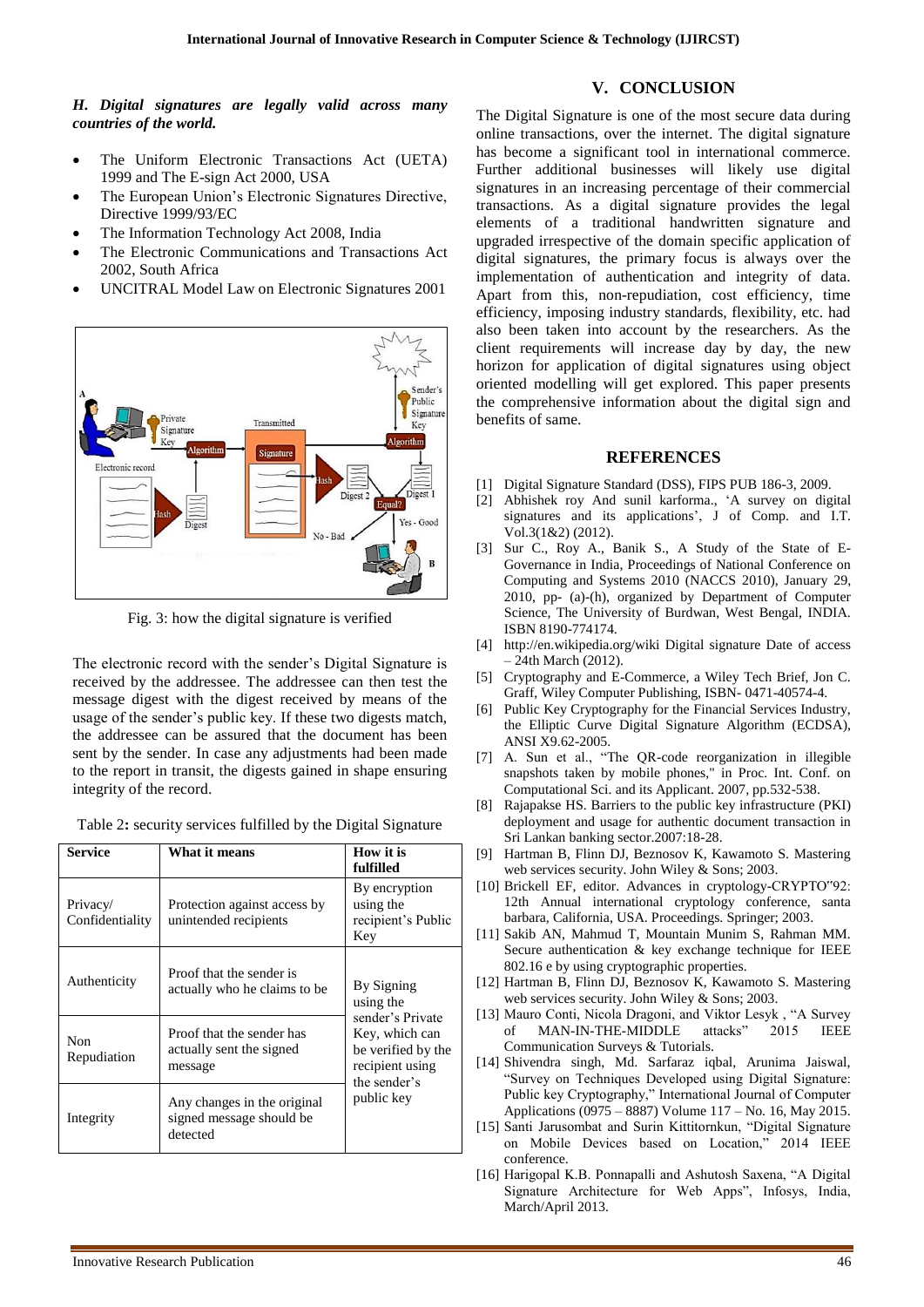# **V. CONCLUSION**

### *H. Digital signatures are legally valid across many countries of the world.*

- The Uniform Electronic Transactions Act (UETA) 1999 and The E-sign Act 2000, USA
- The European Union's Electronic Signatures Directive, Directive 1999/93/EC
- The Information Technology Act 2008, India
- The Electronic Communications and Transactions Act 2002, South Africa
- UNCITRAL Model Law on Electronic Signatures 2001



Fig. 3: how the digital signature is verified

The electronic record with the sender's Digital Signature is received by the addressee. The addressee can then test the message digest with the digest received by means of the usage of the sender's public key. If these two digests match, the addressee can be assured that the document has been sent by the sender. In case any adjustments had been made to the report in transit, the digests gained in shape ensuring integrity of the record.

|  | Table 2: security services fulfilled by the Digital Signature |  |  |  |
|--|---------------------------------------------------------------|--|--|--|
|--|---------------------------------------------------------------|--|--|--|

| <b>Service</b>              | What it means                                                       | How it is<br>fulfilled                                                                                                               |  |
|-----------------------------|---------------------------------------------------------------------|--------------------------------------------------------------------------------------------------------------------------------------|--|
| Privacy/<br>Confidentiality | Protection against access by<br>unintended recipients               | By encryption<br>using the<br>recipient's Public<br>Key                                                                              |  |
| Authenticity                | Proof that the sender is<br>actually who he claims to be            | By Signing<br>using the<br>sender's Private<br>Key, which can<br>be verified by the<br>recipient using<br>the sender's<br>public key |  |
| Non<br>Repudiation          | Proof that the sender has<br>actually sent the signed<br>message    |                                                                                                                                      |  |
| Integrity                   | Any changes in the original<br>signed message should be<br>detected |                                                                                                                                      |  |

The Digital Signature is one of the most secure data during online transactions, over the internet. The digital signature has become a significant tool in international commerce. Further additional businesses will likely use digital signatures in an increasing percentage of their commercial transactions. As a digital signature provides the legal elements of a traditional handwritten signature and upgraded irrespective of the domain specific application of digital signatures, the primary focus is always over the implementation of authentication and integrity of data. Apart from this, non-repudiation, cost efficiency, time efficiency, imposing industry standards, flexibility, etc. had also been taken into account by the researchers. As the client requirements will increase day by day, the new horizon for application of digital signatures using object oriented modelling will get explored. This paper presents the comprehensive information about the digital sign and benefits of same.

#### **REFERENCES**

- [1] Digital Signature Standard (DSS), FIPS PUB 186-3, 2009.
- [2] Abhishek roy And sunil karforma., 'A survey on digital signatures and its applications', J of Comp. and I.T. Vol.3(1&2) (2012).
- [3] Sur C., Roy A., Banik S., A Study of the State of E-Governance in India, Proceedings of National Conference on Computing and Systems 2010 (NACCS 2010), January 29, 2010, pp- (a)-(h), organized by Department of Computer Science, The University of Burdwan, West Bengal, INDIA. ISBN 8190-774174.
- [4] http://en.wikipedia.org/wiki Digital signature Date of access – 24th March (2012).
- [5] Cryptography and E-Commerce, a Wiley Tech Brief, Jon C. Graff, Wiley Computer Publishing, ISBN- 0471-40574-4.
- [6] Public Key Cryptography for the Financial Services Industry, the Elliptic Curve Digital Signature Algorithm (ECDSA), ANSI X9.62-2005.
- [7] A. Sun et al., "The QR-code reorganization in illegible snapshots taken by mobile phones," in Proc. Int. Conf. on Computational Sci. and its Applicant. 2007, pp.532-538.
- [8] Rajapakse HS. Barriers to the public key infrastructure (PKI) deployment and usage for authentic document transaction in Sri Lankan banking sector.2007:18-28.
- [9] Hartman B, Flinn DJ, Beznosov K, Kawamoto S. Mastering web services security. John Wiley & Sons; 2003.
- [10] Brickell EF, editor. Advances in cryptology-CRYPTO"92: 12th Annual international cryptology conference, santa barbara, California, USA. Proceedings. Springer; 2003.
- [11] Sakib AN, Mahmud T, Mountain Munim S, Rahman MM. Secure authentication & key exchange technique for IEEE 802.16 e by using cryptographic properties.
- [12] Hartman B, Flinn DJ, Beznosov K, Kawamoto S. Mastering web services security. John Wiley & Sons; 2003.
- [13] Mauro Conti, Nicola Dragoni, and Viktor Lesyk, "A Survey of MAN-IN-THE-MIDDLE attacks" 2015 IEEE Communication Surveys & Tutorials.
- [14] Shivendra singh, Md. Sarfaraz iqbal, Arunima Jaiswal, "Survey on Techniques Developed using Digital Signature: Public key Cryptography," International Journal of Computer Applications (0975 – 8887) Volume 117 – No. 16, May 2015.
- [15] Santi Jarusombat and Surin Kittitornkun, "Digital Signature on Mobile Devices based on Location," 2014 IEEE conference.
- [16] Harigopal K.B. Ponnapalli and Ashutosh Saxena, "A Digital Signature Architecture for Web Apps", Infosys, India, March/April 2013.